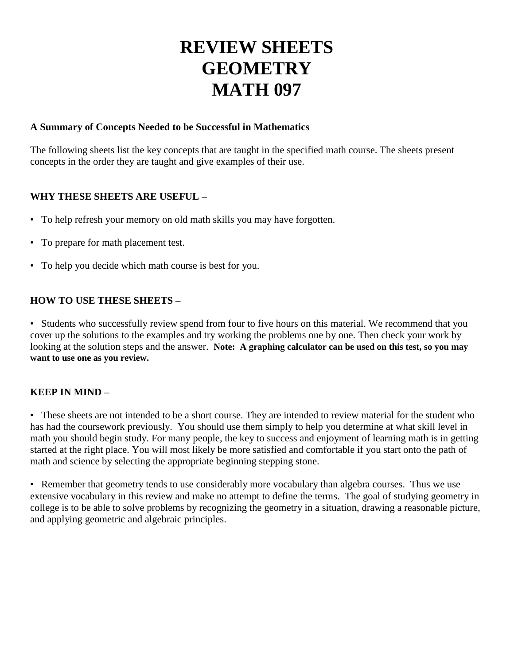# **REVIEW SHEETS GEOMETRY MATH 097**

# **A Summary of Concepts Needed to be Successful in Mathematics**

The following sheets list the key concepts that are taught in the specified math course. The sheets present concepts in the order they are taught and give examples of their use.

# **WHY THESE SHEETS ARE USEFUL –**

- To help refresh your memory on old math skills you may have forgotten.
- To prepare for math placement test.
- To help you decide which math course is best for you.

# **HOW TO USE THESE SHEETS –**

• Students who successfully review spend from four to five hours on this material. We recommend that you cover up the solutions to the examples and try working the problems one by one. Then check your work by looking at the solution steps and the answer. **Note:** A graphing calculator can be used on this test, so you may **want to use one as you review.**

# **KEEP IN MIND –**

• These sheets are not intended to be a short course. They are intended to review material for the student who has had the coursework previously. You should use them simply to help you determine at what skill level in math you should begin study. For many people, the key to success and enjoyment of learning math is in getting started at the right place. You will most likely be more satisfied and comfortable if you start onto the path of math and science by selecting the appropriate beginning stepping stone.

• Remember that geometry tends to use considerably more vocabulary than algebra courses. Thus we use extensive vocabulary in this review and make no attempt to define the terms. The goal of studying geometry in college is to be able to solve problems by recognizing the geometry in a situation, drawing a reasonable picture, and applying geometric and algebraic principles.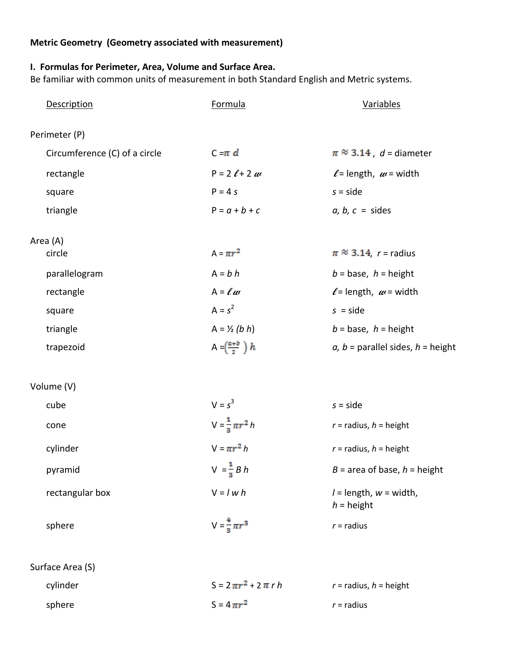# **Metric Geometry (Geometry associated with measurement)**

# **I. Formulas for Perimeter, Area, Volume and Surface Area.**

Be familiar with common units of measurement in both Standard English and Metric systems.

| <b>Description</b>            | <b>Formula</b>                     | Variables                                  |  |  |
|-------------------------------|------------------------------------|--------------------------------------------|--|--|
| Perimeter (P)                 |                                    |                                            |  |  |
| Circumference (C) of a circle | $C - \pi d$                        | $\pi \approx 3.14$ , d = diameter          |  |  |
| rectangle                     | $P = 2 \ell + 2 \mu$               | $\ell$ = length, $\omega$ = width          |  |  |
| square                        | $P = 4s$                           | $s = side$                                 |  |  |
| triangle                      | $P = a + b + c$                    | $a, b, c = sides$                          |  |  |
| Area (A)                      |                                    |                                            |  |  |
| circle                        | $A = \pi r^2$                      | $\pi \approx 3.14$ , r = radius            |  |  |
| parallelogram                 | $A = b h$                          | $b = base, h = height$                     |  |  |
| rectangle                     | $A = \ell \omega$                  | $\ell$ = length, $\omega$ = width          |  |  |
| square                        | $A = s^2$                          | $s = side$                                 |  |  |
| triangle                      | $A = \frac{1}{2} (b h)$            | $b = base, h = height$                     |  |  |
| trapezoid                     | A = $\left(\frac{a+b}{2}\right) h$ | a, $b =$ parallel sides, $h =$ height      |  |  |
| Volume (V)                    |                                    |                                            |  |  |
| cube                          | $V = s^3$                          | $s = side$                                 |  |  |
| cone                          | $V = \frac{1}{3} \pi r^2 h$        | $r =$ radius, $h =$ height                 |  |  |
| cylinder                      | $V = \pi r^2 h$                    | $r =$ radius, $h =$ height                 |  |  |
| pyramid                       | $V = \frac{1}{3} B h$              | $B =$ area of base, $h =$ height           |  |  |
| rectangular box               | $V = I w h$                        | $l =$ length, $w =$ width,<br>$h =$ height |  |  |
| sphere                        | $V = \frac{4}{3} \pi r^3$          | $r =$ radius                               |  |  |
|                               |                                    |                                            |  |  |

Surface Area (S)

| cylinder | $S = 2 \pi r^2 + 2 \pi r h$ | $r =$ radius, $h =$ height |
|----------|-----------------------------|----------------------------|
| sphere   | $S = 4 \pi r^2$             | $r =$ radius               |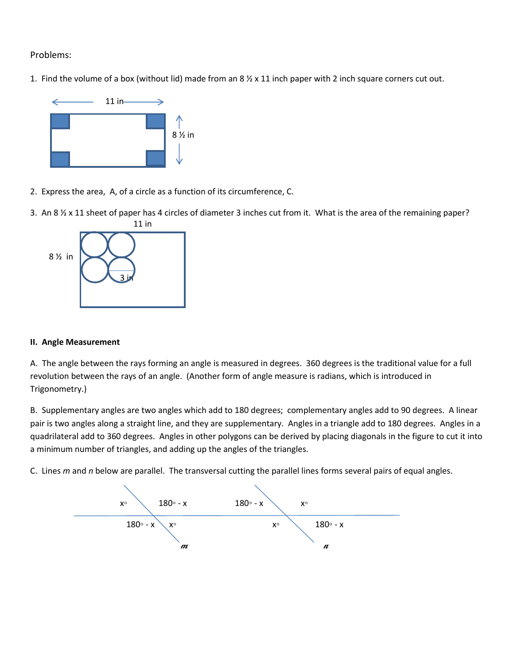## Problems:

1. Find the volume of a box (without lid) made from an  $8 \frac{1}{2} \times 11$  inch paper with 2 inch square corners cut out.



- 2. Express the area, A, of a circle as a function of its circumference, C.
- 3. An 8 ½ x 11 sheet of paper has 4 circles of diameter 3 inches cut from it. What is the area of the remaining paper? 11 in



#### **II. Angle Measurement**

A. The angle between the rays forming an angle is measured in degrees. 360 degrees is the traditional value for a full revolution between the rays of an angle. (Another form of angle measure is radians, which is introduced in Trigonometry.)

B. Supplementary angles are two angles which add to 180 degrees; complementary angles add to 90 degrees. A linear pair is two angles along a straight line, and they are supplementary. Angles in a triangle add to 180 degrees. Angles in a quadrilateral add to 360 degrees. Angles in other polygons can be derived by placing diagonals in the figure to cut it into a minimum number of triangles, and adding up the angles of the triangles.

C. Lines *m* and *n* below are parallel. The transversal cutting the parallel lines forms several pairs of equal angles.

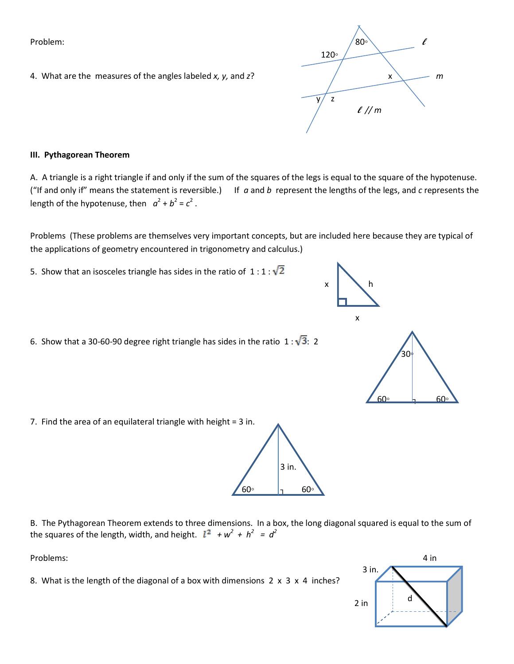4. What are the measures of the angles labeled *x, y,* and *z*?  $\hspace{1cm} \times \hspace{1cm} \times \hspace{1cm} \times \hspace{1cm} m$ 

#### **III. Pythagorean Theorem**

A. A triangle is a right triangle if and only if the sum of the squares of the legs is equal to the square of the hypotenuse. ("If and only if" means the statement is reversible.) If *a* and *b* represent the lengths of the legs, and *c* represents the length of the hypotenuse, then  $a^2 + b^2 = c^2$ .

Problems (These problems are themselves very important concepts, but are included here because they are typical of the applications of geometry encountered in trigonometry and calculus.)

5. Show that an isosceles triangle has sides in the ratio of  $1:1:\sqrt{2}$ 

7. Find the area of an equilateral triangle with height = 3 in.

6. Show that a 30-60-90 degree right triangle has sides in the ratio  $1:\sqrt{3}$ : 2

 $x \downarrow h$ 

x

B. The Pythagorean Theorem extends to three dimensions. In a box, the long diagonal squared is equal to the sum of the squares of the length, width, and height.  $l^2 + w^2 + h^2 = d^2$ 

 $60°$   $1^{160°}$ 

8. What is the length of the diagonal of a box with dimensions 2 x 3 x 4 inches?







30◦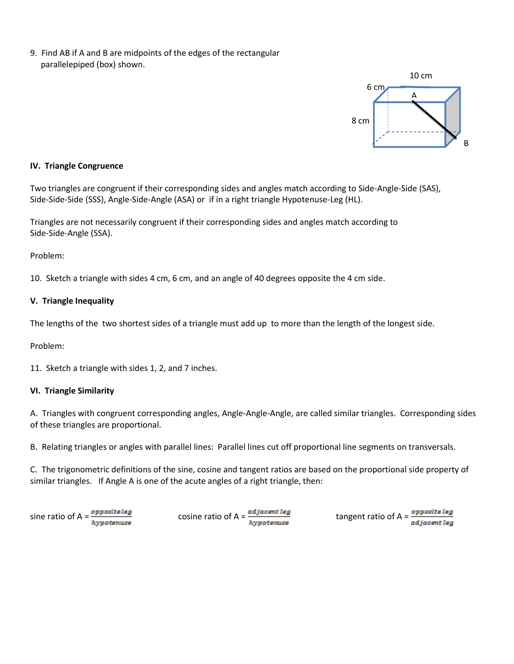9. Find AB if A and B are midpoints of the edges of the rectangular parallelepiped (box) shown.



#### **IV. Triangle Congruence**

Two triangles are congruent if their corresponding sides and angles match according to Side-Angle-Side (SAS), Side-Side-Side (SSS), Angle-Side-Angle (ASA) or if in a right triangle Hypotenuse-Leg (HL).

Triangles are not necessarily congruent if their corresponding sides and angles match according to Side-Side-Angle (SSA).

Problem:

10. Sketch a triangle with sides 4 cm, 6 cm, and an angle of 40 degrees opposite the 4 cm side.

#### **V. Triangle Inequality**

The lengths of the two shortest sides of a triangle must add up to more than the length of the longest side.

Problem:

11. Sketch a triangle with sides 1, 2, and 7 inches.

#### **VI. Triangle Similarity**

A. Triangles with congruent corresponding angles, Angle-Angle-Angle, are called similar triangles. Corresponding sides of these triangles are proportional.

B. Relating triangles or angles with parallel lines: Parallel lines cut off proportional line segments on transversals.

C. The trigonometric definitions of the sine, cosine and tangent ratios are based on the proportional side property of similar triangles. If Angle A is one of the acute angles of a right triangle, then:

| sine ratio of $A = \frac{opposite log}{E}$ | cosine ratio of A = $\frac{adjacent \, leg}{}$ |                                                          |
|--------------------------------------------|------------------------------------------------|----------------------------------------------------------|
| hypotenuse                                 | hypotenuse                                     | tangent ratio of A = <i>opposite leg</i><br>adjacent leg |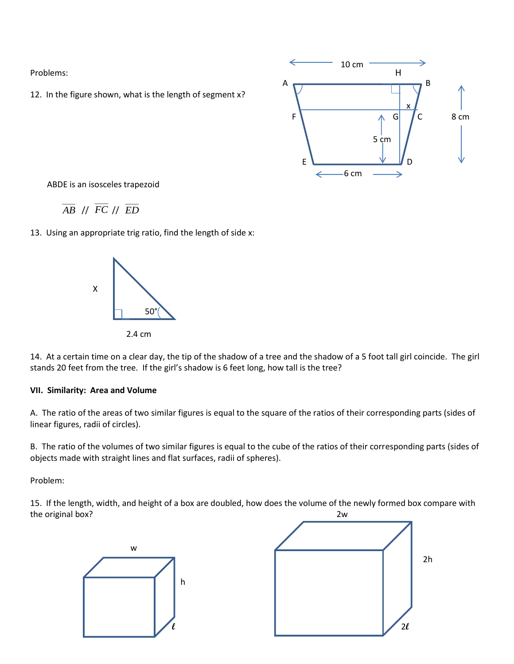12. In the figure shown, what is the length of segment x?



ABDE is an isosceles trapezoid

$$
\overline{AB} \text{ // } \overline{FC} \text{ // } \overline{ED}
$$

13. Using an appropriate trig ratio, find the length of side x:



14. At a certain time on a clear day, the tip of the shadow of a tree and the shadow of a 5 foot tall girl coincide. The girl stands 20 feet from the tree. If the girl's shadow is 6 feet long, how tall is the tree?

#### **VII. Similarity: Area and Volume**

A. The ratio of the areas of two similar figures is equal to the square of the ratios of their corresponding parts (sides of linear figures, radii of circles).

B. The ratio of the volumes of two similar figures is equal to the cube of the ratios of their corresponding parts (sides of objects made with straight lines and flat surfaces, radii of spheres).

Problem:

15. If the length, width, and height of a box are doubled, how does the volume of the newly formed box compare with the original box? 2w

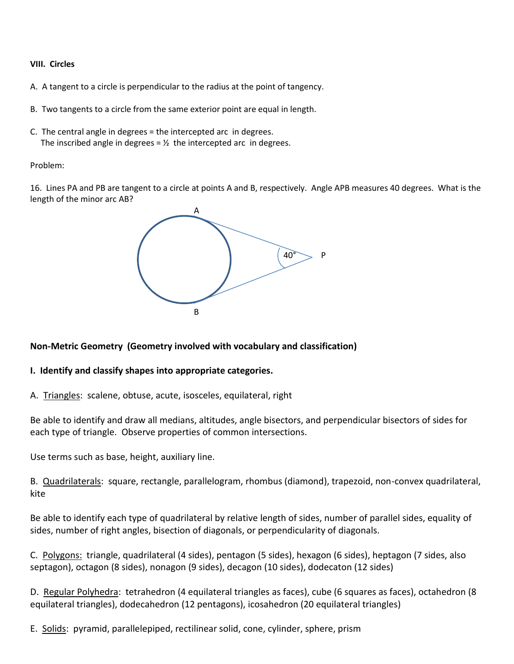#### **VIII. Circles**

- A. A tangent to a circle is perpendicular to the radius at the point of tangency.
- B. Two tangents to a circle from the same exterior point are equal in length.
- C. The central angle in degrees = the intercepted arc in degrees. The inscribed angle in degrees =  $\frac{1}{2}$  the intercepted arc in degrees.

#### Problem:

16. Lines PA and PB are tangent to a circle at points A and B, respectively. Angle APB measures 40 degrees. What is the length of the minor arc AB?



# **Non-Metric Geometry (Geometry involved with vocabulary and classification)**

## **I. Identify and classify shapes into appropriate categories.**

A. Triangles: scalene, obtuse, acute, isosceles, equilateral, right

Be able to identify and draw all medians, altitudes, angle bisectors, and perpendicular bisectors of sides for each type of triangle. Observe properties of common intersections.

Use terms such as base, height, auxiliary line.

B. Quadrilaterals: square, rectangle, parallelogram, rhombus (diamond), trapezoid, non-convex quadrilateral, kite

Be able to identify each type of quadrilateral by relative length of sides, number of parallel sides, equality of sides, number of right angles, bisection of diagonals, or perpendicularity of diagonals.

C. Polygons: triangle, quadrilateral (4 sides), pentagon (5 sides), hexagon (6 sides), heptagon (7 sides, also septagon), octagon (8 sides), nonagon (9 sides), decagon (10 sides), dodecaton (12 sides)

D. Regular Polyhedra: tetrahedron (4 equilateral triangles as faces), cube (6 squares as faces), octahedron (8 equilateral triangles), dodecahedron (12 pentagons), icosahedron (20 equilateral triangles)

E. Solids: pyramid, parallelepiped, rectilinear solid, cone, cylinder, sphere, prism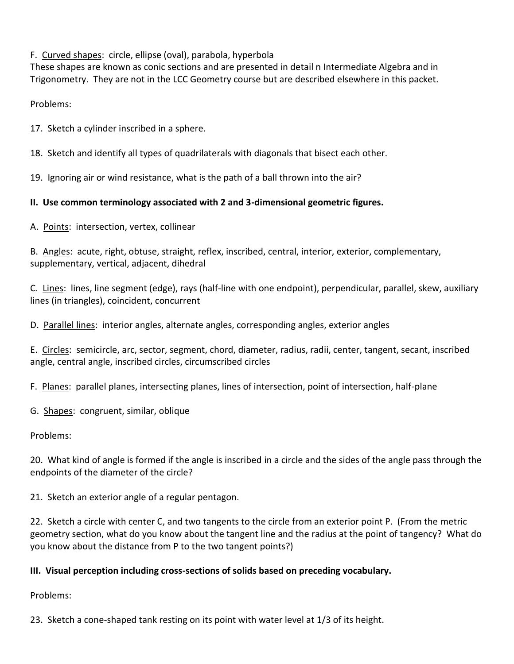F. Curved shapes: circle, ellipse (oval), parabola, hyperbola

These shapes are known as conic sections and are presented in detail n Intermediate Algebra and in Trigonometry. They are not in the LCC Geometry course but are described elsewhere in this packet.

Problems:

17. Sketch a cylinder inscribed in a sphere.

18. Sketch and identify all types of quadrilaterals with diagonals that bisect each other.

19. Ignoring air or wind resistance, what is the path of a ball thrown into the air?

# **II. Use common terminology associated with 2 and 3-dimensional geometric figures.**

A. Points: intersection, vertex, collinear

B. Angles: acute, right, obtuse, straight, reflex, inscribed, central, interior, exterior, complementary, supplementary, vertical, adjacent, dihedral

C. Lines: lines, line segment (edge), rays (half-line with one endpoint), perpendicular, parallel, skew, auxiliary lines (in triangles), coincident, concurrent

D. Parallel lines: interior angles, alternate angles, corresponding angles, exterior angles

E. Circles: semicircle, arc, sector, segment, chord, diameter, radius, radii, center, tangent, secant, inscribed angle, central angle, inscribed circles, circumscribed circles

F. Planes: parallel planes, intersecting planes, lines of intersection, point of intersection, half-plane

G. Shapes: congruent, similar, oblique

Problems:

20. What kind of angle is formed if the angle is inscribed in a circle and the sides of the angle pass through the endpoints of the diameter of the circle?

21. Sketch an exterior angle of a regular pentagon.

22. Sketch a circle with center C, and two tangents to the circle from an exterior point P. (From the metric geometry section, what do you know about the tangent line and the radius at the point of tangency? What do you know about the distance from P to the two tangent points?)

# **III. Visual perception including cross-sections of solids based on preceding vocabulary.**

Problems:

23. Sketch a cone-shaped tank resting on its point with water level at 1/3 of its height.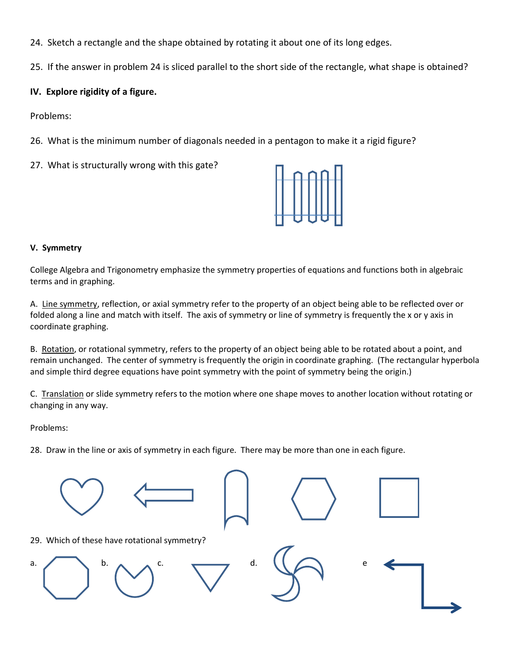- 24. Sketch a rectangle and the shape obtained by rotating it about one of its long edges.
- 25. If the answer in problem 24 is sliced parallel to the short side of the rectangle, what shape is obtained?

# **IV. Explore rigidity of a figure.**

Problems:

- 26. What is the minimum number of diagonals needed in a pentagon to make it a rigid figure?
- 27. What is structurally wrong with this gate?



#### **V. Symmetry**

College Algebra and Trigonometry emphasize the symmetry properties of equations and functions both in algebraic terms and in graphing.

A. Line symmetry, reflection, or axial symmetry refer to the property of an object being able to be reflected over or folded along a line and match with itself. The axis of symmetry or line of symmetry is frequently the x or y axis in coordinate graphing.

B. Rotation, or rotational symmetry, refers to the property of an object being able to be rotated about a point, and remain unchanged. The center of symmetry is frequently the origin in coordinate graphing. (The rectangular hyperbola and simple third degree equations have point symmetry with the point of symmetry being the origin.)

C. Translation or slide symmetry refers to the motion where one shape moves to another location without rotating or changing in any way.

Problems:

28. Draw in the line or axis of symmetry in each figure. There may be more than one in each figure.